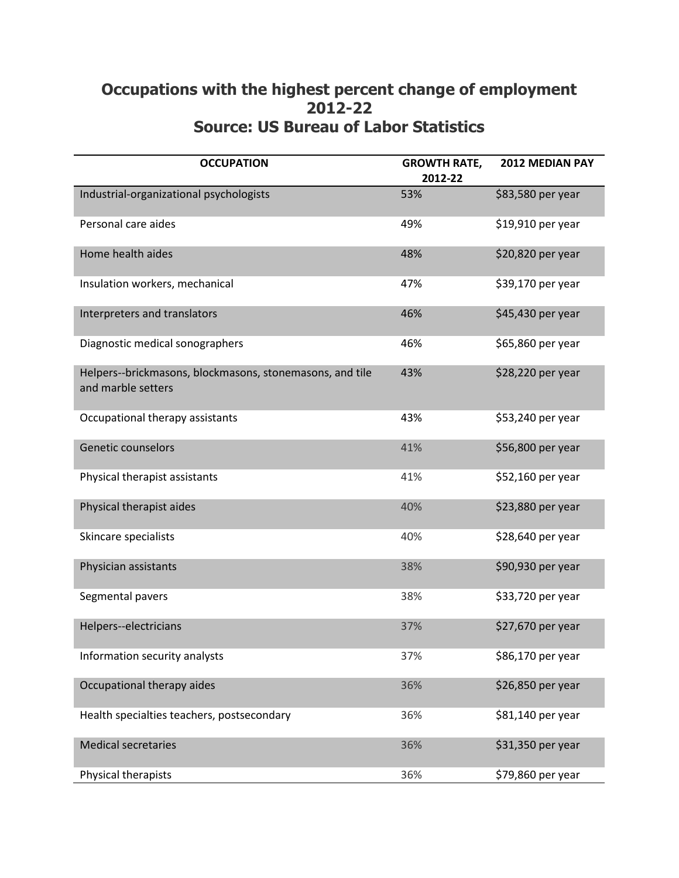## **Occupations with the highest percent change of employment 2012-22 Source: US Bureau of Labor Statistics**

| <b>OCCUPATION</b>                                                              | <b>GROWTH RATE,</b><br>2012-22 | <b>2012 MEDIAN PAY</b> |
|--------------------------------------------------------------------------------|--------------------------------|------------------------|
| Industrial-organizational psychologists                                        | 53%                            | \$83,580 per year      |
| Personal care aides                                                            | 49%                            | \$19,910 per year      |
| Home health aides                                                              | 48%                            | \$20,820 per year      |
| Insulation workers, mechanical                                                 | 47%                            | \$39,170 per year      |
| Interpreters and translators                                                   | 46%                            | \$45,430 per year      |
| Diagnostic medical sonographers                                                | 46%                            | \$65,860 per year      |
| Helpers--brickmasons, blockmasons, stonemasons, and tile<br>and marble setters | 43%                            | \$28,220 per year      |
| Occupational therapy assistants                                                | 43%                            | \$53,240 per year      |
| Genetic counselors                                                             | 41%                            | \$56,800 per year      |
| Physical therapist assistants                                                  | 41%                            | \$52,160 per year      |
| Physical therapist aides                                                       | 40%                            | \$23,880 per year      |
| Skincare specialists                                                           | 40%                            | \$28,640 per year      |
| Physician assistants                                                           | 38%                            | \$90,930 per year      |
| Segmental pavers                                                               | 38%                            | \$33,720 per year      |
| Helpers--electricians                                                          | 37%                            | \$27,670 per year      |
| Information security analysts                                                  | 37%                            | \$86,170 per year      |
| Occupational therapy aides                                                     | 36%                            | \$26,850 per year      |
| Health specialties teachers, postsecondary                                     | 36%                            | \$81,140 per year      |
| <b>Medical secretaries</b>                                                     | 36%                            | \$31,350 per year      |
| Physical therapists                                                            | 36%                            | \$79,860 per year      |